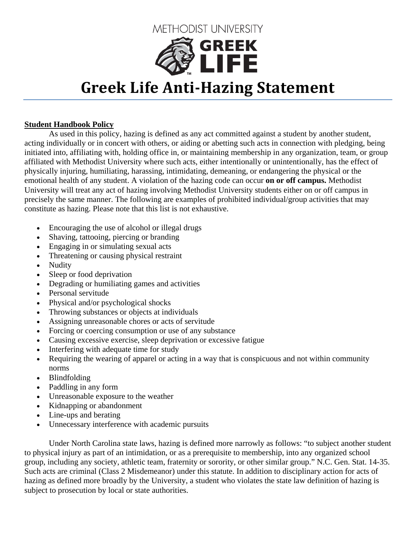

## **Greek Life AntiHazing Statement**

## **Student Handbook Policy**

As used in this policy, hazing is defined as any act committed against a student by another student, acting individually or in concert with others, or aiding or abetting such acts in connection with pledging, being initiated into, affiliating with, holding office in, or maintaining membership in any organization, team, or group affiliated with Methodist University where such acts, either intentionally or unintentionally, has the effect of physically injuring, humiliating, harassing, intimidating, demeaning, or endangering the physical or the emotional health of any student. A violation of the hazing code can occur **on or off campus.** Methodist University will treat any act of hazing involving Methodist University students either on or off campus in precisely the same manner. The following are examples of prohibited individual/group activities that may constitute as hazing. Please note that this list is not exhaustive.

- Encouraging the use of alcohol or illegal drugs
- Shaving, tattooing, piercing or branding
- Engaging in or simulating sexual acts
- Threatening or causing physical restraint
- Nudity
- Sleep or food deprivation
- Degrading or humiliating games and activities
- Personal servitude
- Physical and/or psychological shocks
- Throwing substances or objects at individuals
- Assigning unreasonable chores or acts of servitude
- Forcing or coercing consumption or use of any substance
- Causing excessive exercise, sleep deprivation or excessive fatigue
- Interfering with adequate time for study
- Requiring the wearing of apparel or acting in a way that is conspicuous and not within community norms
- Blindfolding
- Paddling in any form
- Unreasonable exposure to the weather
- Kidnapping or abandonment
- Line-ups and berating
- Unnecessary interference with academic pursuits

Under North Carolina state laws, hazing is defined more narrowly as follows: "to subject another student to physical injury as part of an intimidation, or as a prerequisite to membership, into any organized school group, including any society, athletic team, fraternity or sorority, or other similar group." N.C. Gen. Stat. 14-35. Such acts are criminal (Class 2 Misdemeanor) under this statute. In addition to disciplinary action for acts of hazing as defined more broadly by the University, a student who violates the state law definition of hazing is subject to prosecution by local or state authorities.